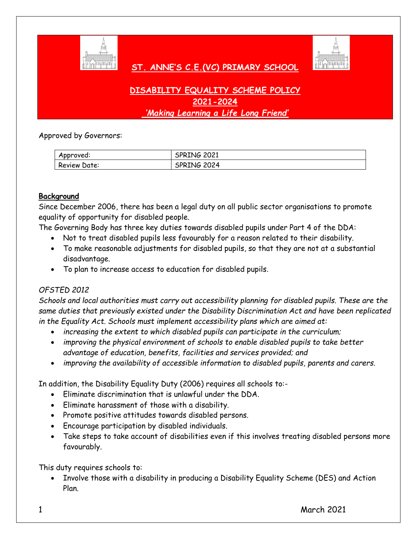

 **ST. ANNE'S C.E.(VC) PRIMARY SCHOOL** 



# **DISABILITY EQUALITY SCHEME POLICY 2021-2024** *'Making Learning a Life Long Friend'*

Approved by Governors:

| Approved:    | SPRING 2021 |
|--------------|-------------|
| Review Date: | SPRING 2024 |

#### **Background**

Since December 2006, there has been a legal duty on all public sector organisations to promote equality of opportunity for disabled people.

The Governing Body has three key duties towards disabled pupils under Part 4 of the DDA:

- Not to treat disabled pupils less favourably for a reason related to their disability.
- To make reasonable adjustments for disabled pupils, so that they are not at a substantial disadvantage.
- To plan to increase access to education for disabled pupils.

## *OFSTED 2012*

*Schools and local authorities must carry out accessibility planning for disabled pupils. These are the same duties that previously existed under the Disability Discrimination Act and have been replicated in the Equality Act. Schools must implement accessibility plans which are aimed at:* 

- *increasing the extent to which disabled pupils can participate in the curriculum;*
- *improving the physical environment of schools to enable disabled pupils to take better advantage of education, benefits, facilities and services provided; and*
- *improving the availability of accessible information to disabled pupils, parents and carers.*

In addition, the Disability Equality Duty (2006) requires all schools to:-

- Eliminate discrimination that is unlawful under the DDA.
- Eliminate harassment of those with a disability.
- Promote positive attitudes towards disabled persons.
- Encourage participation by disabled individuals.
- Take steps to take account of disabilities even if this involves treating disabled persons more favourably.

This duty requires schools to:

 Involve those with a disability in producing a Disability Equality Scheme (DES) and Action Plan.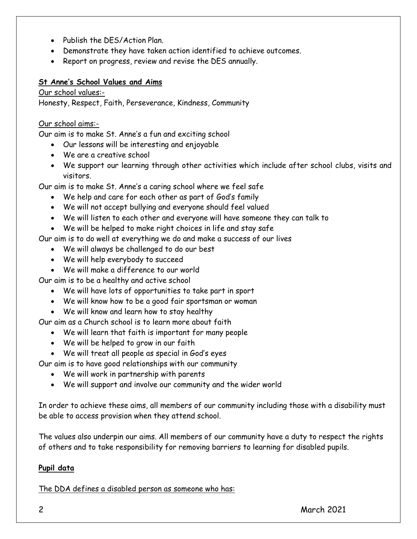- Publish the DES/Action Plan.
- Demonstrate they have taken action identified to achieve outcomes.
- Report on progress, review and revise the DES annually.

#### **St Anne's School Values and Aims**

Our school values:-

Honesty, Respect, Faith, Perseverance, Kindness, Community

#### Our school aims:-

Our aim is to make St. Anne's a fun and exciting school

- Our lessons will be interesting and enjoyable
- We are a creative school
- We support our learning through other activities which include after school clubs, visits and visitors.

Our aim is to make St. Anne's a caring school where we feel safe

- We help and care for each other as part of God's family
- We will not accept bullying and everyone should feel valued
- We will listen to each other and everyone will have someone they can talk to
- We will be helped to make right choices in life and stay safe

Our aim is to do well at everything we do and make a success of our lives

- We will always be challenged to do our best
- We will help everybody to succeed
- We will make a difference to our world

Our aim is to be a healthy and active school

- We will have lots of opportunities to take part in sport
- We will know how to be a good fair sportsman or woman
- We will know and learn how to stay healthy

Our aim as a Church school is to learn more about faith

- We will learn that faith is important for many people
- We will be helped to grow in our faith
- We will treat all people as special in God's eyes

Our aim is to have good relationships with our community

- We will work in partnership with parents
- We will support and involve our community and the wider world

In order to achieve these aims, all members of our community including those with a disability must be able to access provision when they attend school.

The values also underpin our aims. All members of our community have a duty to respect the rights of others and to take responsibility for removing barriers to learning for disabled pupils.

## **Pupil data**

The DDA defines a disabled person as someone who has: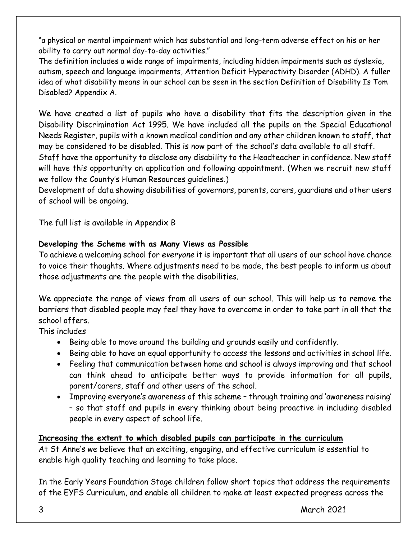"a physical or mental impairment which has substantial and long-term adverse effect on his or her ability to carry out normal day-to-day activities."

The definition includes a wide range of impairments, including hidden impairments such as dyslexia, autism, speech and language impairments, Attention Deficit Hyperactivity Disorder (ADHD). A fuller idea of what disability means in our school can be seen in the section Definition of Disability Is Tom Disabled? Appendix A.

We have created a list of pupils who have a disability that fits the description given in the Disability Discrimination Act 1995. We have included all the pupils on the Special Educational Needs Register, pupils with a known medical condition and any other children known to staff, that may be considered to be disabled. This is now part of the school's data available to all staff.

Staff have the opportunity to disclose any disability to the Headteacher in confidence. New staff will have this opportunity on application and following appointment. (When we recruit new staff we follow the County's Human Resources guidelines.)

Development of data showing disabilities of governors, parents, carers, guardians and other users of school will be ongoing.

The full list is available in Appendix B

## **Developing the Scheme with as Many Views as Possible**

To achieve a welcoming school for *everyone* it is important that all users of our school have chance to voice their thoughts. Where adjustments need to be made, the best people to inform us about those adjustments are the people with the disabilities.

We appreciate the range of views from all users of our school. This will help us to remove the barriers that disabled people may feel they have to overcome in order to take part in all that the school offers.

This includes

- Being able to move around the building and grounds easily and confidently.
- Being able to have an equal opportunity to access the lessons and activities in school life.
- Feeling that communication between home and school is always improving and that school can think ahead to anticipate better ways to provide information for all pupils, parent/carers, staff and other users of the school.
- Improving everyone's awareness of this scheme through training and 'awareness raising' – so that staff and pupils in every thinking about being proactive in including disabled people in every aspect of school life.

## **Increasing the extent to which disabled pupils can participate** i**n the curriculum**

At St Anne's we believe that an exciting, engaging, and effective curriculum is essential to enable high quality teaching and learning to take place.

In the Early Years Foundation Stage children follow short topics that address the requirements of the EYFS Curriculum, and enable all children to make at least expected progress across the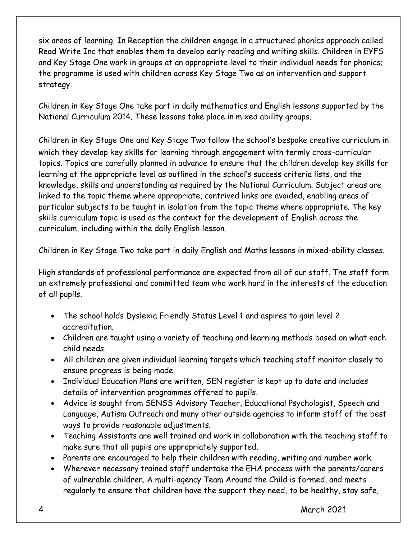six areas of learning. In Reception the children engage in a structured phonics approach called Read Write Inc that enables them to develop early reading and writing skills. Children in EYFS and Key Stage One work in groups at an appropriate level to their individual needs for phonics; the programme is used with children across Key Stage Two as an intervention and support strategy.

Children in Key Stage One take part in daily mathematics and English lessons supported by the National Curriculum 2014. These lessons take place in mixed ability groups.

Children in Key Stage One and Key Stage Two follow the school's bespoke creative curriculum in which they develop key skills for learning through engagement with termly cross-curricular topics. Topics are carefully planned in advance to ensure that the children develop key skills for learning at the appropriate level as outlined in the school's success criteria lists, and the knowledge, skills and understanding as required by the National Curriculum. Subject areas are linked to the topic theme where appropriate, contrived links are avoided, enabling areas of particular subjects to be taught in isolation from the topic theme where appropriate. The key skills curriculum topic is used as the context for the development of English across the curriculum, including within the daily English lesson.

Children in Key Stage Two take part in daily English and Maths lessons in mixed-ability classes.

High standards of professional performance are expected from all of our staff. The staff form an extremely professional and committed team who work hard in the interests of the education of all pupils.

- The school holds Dyslexia Friendly Status Level 1 and aspires to gain level 2 accreditation.
- Children are taught using a variety of teaching and learning methods based on what each child needs.
- All children are given individual learning targets which teaching staff monitor closely to ensure progress is being made.
- Individual Education Plans are written, SEN register is kept up to date and includes details of intervention programmes offered to pupils.
- Advice is sought from SENSS Advisory Teacher, Educational Psychologist, Speech and Language, Autism Outreach and many other outside agencies to inform staff of the best ways to provide reasonable adjustments.
- Teaching Assistants are well trained and work in collaboration with the teaching staff to make sure that all pupils are appropriately supported.
- Parents are encouraged to help their children with reading, writing and number work.
- Wherever necessary trained staff undertake the EHA process with the parents/carers of vulnerable children. A multi-agency Team Around the Child is formed, and meets regularly to ensure that children have the support they need, to be healthy, stay safe,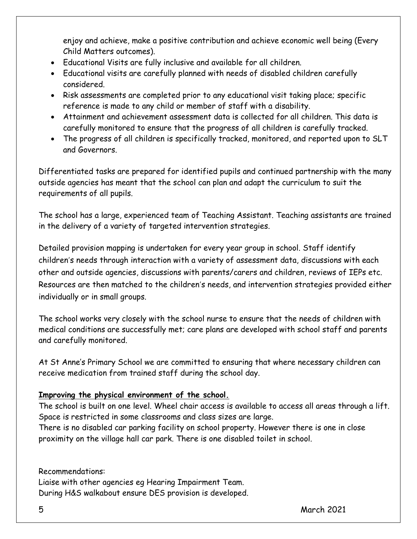enjoy and achieve, make a positive contribution and achieve economic well being (Every Child Matters outcomes).

- Educational Visits are fully inclusive and available for all children.
- Educational visits are carefully planned with needs of disabled children carefully considered.
- Risk assessments are completed prior to any educational visit taking place; specific reference is made to any child or member of staff with a disability.
- Attainment and achievement assessment data is collected for all children. This data is carefully monitored to ensure that the progress of all children is carefully tracked.
- The progress of all children is specifically tracked, monitored, and reported upon to SLT and Governors.

Differentiated tasks are prepared for identified pupils and continued partnership with the many outside agencies has meant that the school can plan and adapt the curriculum to suit the requirements of all pupils.

The school has a large, experienced team of Teaching Assistant. Teaching assistants are trained in the delivery of a variety of targeted intervention strategies.

Detailed provision mapping is undertaken for every year group in school. Staff identify children's needs through interaction with a variety of assessment data, discussions with each other and outside agencies, discussions with parents/carers and children, reviews of IEPs etc. Resources are then matched to the children's needs, and intervention strategies provided either individually or in small groups.

The school works very closely with the school nurse to ensure that the needs of children with medical conditions are successfully met; care plans are developed with school staff and parents and carefully monitored.

At St Anne's Primary School we are committed to ensuring that where necessary children can receive medication from trained staff during the school day.

## **Improving the physical environment of the school.**

The school is built on one level. Wheel chair access is available to access all areas through a lift. Space is restricted in some classrooms and class sizes are large.

There is no disabled car parking facility on school property. However there is one in close proximity on the village hall car park. There is one disabled toilet in school.

Recommendations: Liaise with other agencies eg Hearing Impairment Team. During H&S walkabout ensure DES provision is developed.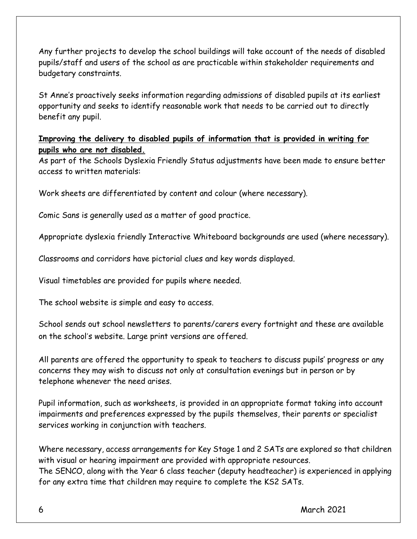Any further projects to develop the school buildings will take account of the needs of disabled pupils/staff and users of the school as are practicable within stakeholder requirements and budgetary constraints.

St Anne's proactively seeks information regarding admissions of disabled pupils at its earliest opportunity and seeks to identify reasonable work that needs to be carried out to directly benefit any pupil.

## **Improving the delivery to disabled pupils of information that is provided in writing for pupils who are not disabled.**

As part of the Schools Dyslexia Friendly Status adjustments have been made to ensure better access to written materials:

Work sheets are differentiated by content and colour (where necessary).

Comic Sans is generally used as a matter of good practice.

Appropriate dyslexia friendly Interactive Whiteboard backgrounds are used (where necessary).

Classrooms and corridors have pictorial clues and key words displayed.

Visual timetables are provided for pupils where needed.

The school website is simple and easy to access.

School sends out school newsletters to parents/carers every fortnight and these are available on the school's website. Large print versions are offered.

All parents are offered the opportunity to speak to teachers to discuss pupils' progress or any concerns they may wish to discuss not only at consultation evenings but in person or by telephone whenever the need arises.

Pupil information, such as worksheets, is provided in an appropriate format taking into account impairments and preferences expressed by the pupils themselves, their parents or specialist services working in conjunction with teachers.

Where necessary, access arrangements for Key Stage 1 and 2 SATs are explored so that children with visual or hearing impairment are provided with appropriate resources. The SENCO, along with the Year 6 class teacher (deputy headteacher) is experienced in applying for any extra time that children may require to complete the KS2 SATs.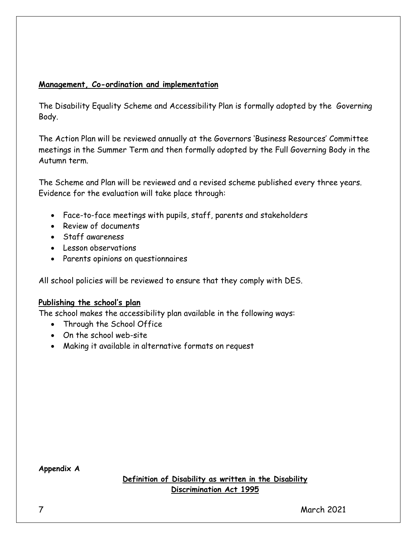#### **Management, Co-ordination and implementation**

The Disability Equality Scheme and Accessibility Plan is formally adopted by the Governing Body.

The Action Plan will be reviewed annually at the Governors 'Business Resources' Committee meetings in the Summer Term and then formally adopted by the Full Governing Body in the Autumn term.

The Scheme and Plan will be reviewed and a revised scheme published every three years. Evidence for the evaluation will take place through:

- Face-to-face meetings with pupils, staff, parents and stakeholders
- Review of documents
- Staff awareness
- Lesson observations
- Parents opinions on questionnaires

All school policies will be reviewed to ensure that they comply with DES.

#### **Publishing the school's plan**

The school makes the accessibility plan available in the following ways:

- Through the School Office
- On the school web-site
- Making it available in alternative formats on request

**Appendix A**

**Definition of Disability as written in the Disability Discrimination Act 1995**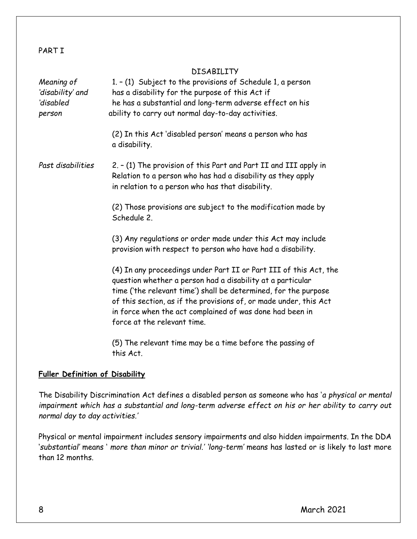#### PART T

#### **DISARTI TTV**

| Meaning of<br>'disability' and<br>disabled<br>person | 1. - (1) Subject to the provisions of Schedule 1, a person<br>has a disability for the purpose of this Act if<br>he has a substantial and long-term adverse effect on his<br>ability to carry out normal day-to-day activities.                                                                                                                                    |
|------------------------------------------------------|--------------------------------------------------------------------------------------------------------------------------------------------------------------------------------------------------------------------------------------------------------------------------------------------------------------------------------------------------------------------|
|                                                      | (2) In this Act 'disabled person' means a person who has<br>a disability.                                                                                                                                                                                                                                                                                          |
| Past disabilities                                    | 2. - (1) The provision of this Part and Part II and III apply in<br>Relation to a person who has had a disability as they apply<br>in relation to a person who has that disability.                                                                                                                                                                                |
|                                                      | (2) Those provisions are subject to the modification made by<br>Schedule 2.                                                                                                                                                                                                                                                                                        |
|                                                      | (3) Any regulations or order made under this Act may include<br>provision with respect to person who have had a disability.                                                                                                                                                                                                                                        |
|                                                      | (4) In any proceedings under Part II or Part III of this Act, the<br>question whether a person had a disability at a particular<br>time ('the relevant time') shall be determined, for the purpose<br>of this section, as if the provisions of, or made under, this Act<br>in force when the act complained of was done had been in<br>force at the relevant time. |
|                                                      | (5) The relevant time may be a time before the passing of<br>this Act.                                                                                                                                                                                                                                                                                             |

#### **Fuller Definition of Disability**

The Disability Discrimination Act defines a disabled person as someone who has '*a physical or mental impairment which has a substantial and long-term adverse effect on his or her ability to carry out normal day to day activities.'* 

Physical or mental impairment includes sensory impairments and also hidden impairments. In the DDA '*substantial'* means ' *more than minor or trivial.' 'long-term'* means has lasted or is likely to last more than 12 months.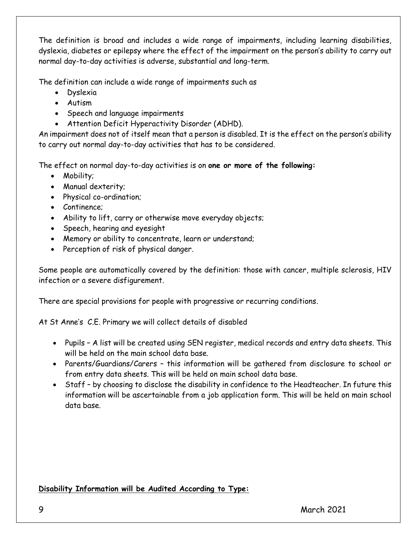The definition is broad and includes a wide range of impairments, including learning disabilities, dyslexia, diabetes or epilepsy where the effect of the impairment on the person's ability to carry out normal day-to-day activities is adverse, substantial and long-term.

The definition can include a wide range of impairments such as

- Dyslexia
- Autism
- Speech and language impairments
- Attention Deficit Hyperactivity Disorder (ADHD).

An impairment does not of itself mean that a person is disabled. It is the effect on the person's ability to carry out normal day-to-day activities that has to be considered.

The effect on normal day-to-day activities is on **one or more of the following:** 

- Mobility;
- Manual dexterity;
- Physical co-ordination;
- Continence:
- Ability to lift, carry or otherwise move everyday objects;
- Speech, hearing and eyesight
- Memory or ability to concentrate, learn or understand;
- Perception of risk of physical danger.

Some people are automatically covered by the definition: those with cancer, multiple sclerosis, HIV infection or a severe disfigurement.

There are special provisions for people with progressive or recurring conditions.

At St Anne's C.E. Primary we will collect details of disabled

- Pupils A list will be created using SEN register, medical records and entry data sheets. This will be held on the main school data base.
- Parents/Guardians/Carers this information will be gathered from disclosure to school or from entry data sheets. This will be held on main school data base.
- Staff by choosing to disclose the disability in confidence to the Headteacher. In future this information will be ascertainable from a job application form. This will be held on main school data base.

## **Disability Information will be Audited According to Type:**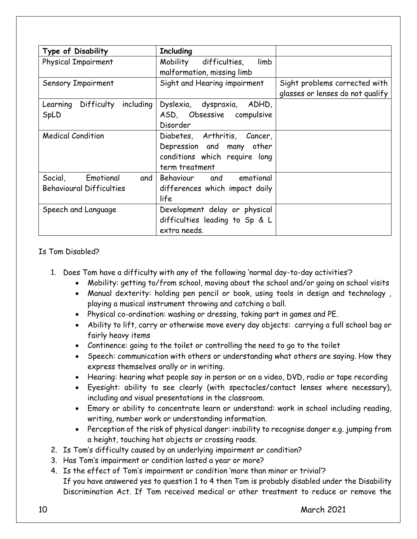| Type of Disability                                            | <b>Including</b>                                                                                             |                                                                   |
|---------------------------------------------------------------|--------------------------------------------------------------------------------------------------------------|-------------------------------------------------------------------|
| Physical Impairment                                           | Mobility difficulties,<br>limb<br>malformation, missing limb                                                 |                                                                   |
| Sensory Impairment                                            | Sight and Hearing impairment                                                                                 | Sight problems corrected with<br>glasses or lenses do not qualify |
| Learning Difficulty including<br>SpLD                         | Dyslexia, dyspraxia, ADHD,<br>ASD, Obsessive compulsive<br>Disorder                                          |                                                                   |
| <b>Medical Condition</b>                                      | Diabetes, Arthritis, Cancer,<br>Depression and many other<br>conditions which require long<br>term treatment |                                                                   |
| Social, Emotional<br>and i<br><b>Behavioural Difficulties</b> | Behaviour and emotional<br>differences which impact daily<br>life                                            |                                                                   |
| Speech and Language                                           | Development delay or physical<br>difficulties leading to Sp & L<br>extra needs.                              |                                                                   |

Is Tom Disabled?

- 1. Does Tom have a difficulty with any of the following 'normal day-to-day activities'?
	- Mobility: getting to/from school, moving about the school and/or going on school visits
	- Manual dexterity: holding pen pencil or book, using tools in design and technology , playing a musical instrument throwing and catching a ball.
	- Physical co-ordination: washing or dressing, taking part in games and PE.
	- Ability to lift, carry or otherwise move every day objects: carrying a full school bag or fairly heavy items
	- Continence: going to the toilet or controlling the need to go to the toilet
	- Speech: communication with others or understanding what others are saying. How they express themselves orally or in writing.
	- Hearing: hearing what people say in person or on a video, DVD, radio or tape recording
	- Eyesight: ability to see clearly (with spectacles/contact lenses where necessary), including and visual presentations in the classroom.
	- Emory or ability to concentrate learn or understand: work in school including reading, writing, number work or understanding information.
	- Perception of the risk of physical danger: inability to recognise danger e.g. jumping from a height, touching hot objects or crossing roads.
- 2. Is Tom's difficulty caused by an underlying impairment or condition?
- 3. Has Tom's impairment or condition lasted a year or more?
- 4. Is the effect of Tom's impairment or condition 'more than minor or trivial'? If you have answered yes to question 1 to 4 then Tom is probably disabled under the Disability

Discrimination Act. If Tom received medical or other treatment to reduce or remove the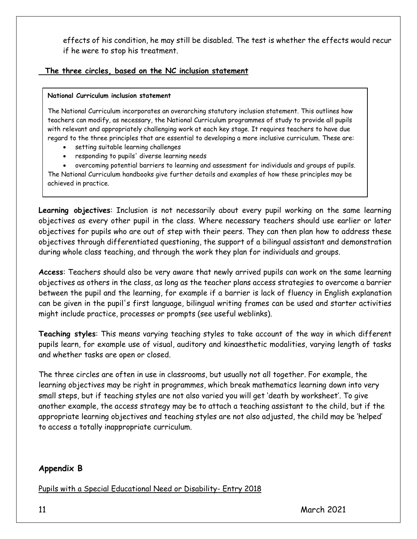effects of his condition, he may still be disabled. The test is whether the effects would recur if he were to stop his treatment.

## **The three circles, based on the NC inclusion statement**

#### **National Curriculum inclusion statement**

The National Curriculum incorporates an overarching statutory inclusion statement. This outlines how teachers can modify, as necessary, the National Curriculum programmes of study to provide all pupils with relevant and appropriately challenging work at each key stage. It requires teachers to have due regard to the three principles that are essential to developing a more inclusive curriculum. These are:

- setting suitable learning challenges
- responding to pupils' diverse learning needs

 overcoming potential barriers to learning and assessment for individuals and groups of pupils. The National Curriculum handbooks give further details and examples of how these principles may be achieved in practice.

**Learning objectives**: Inclusion is not necessarily about every pupil working on the same learning objectives as every other pupil in the class. Where necessary teachers should use earlier or later objectives for pupils who are out of step with their peers. They can then plan how to address these objectives through differentiated questioning, the support of a bilingual assistant and demonstration during whole class teaching, and through the work they plan for individuals and groups.

**Access**: Teachers should also be very aware that newly arrived pupils can work on the same learning objectives as others in the class, as long as the teacher plans access strategies to overcome a barrier between the pupil and the learning, for example if a barrier is lack of fluency in English explanation can be given in the pupil's first language, bilingual writing frames can be used and starter activities might include practice, processes or prompts (see useful weblinks).

**Teaching styles**: This means varying teaching styles to take account of the way in which different pupils learn, for example use of visual, auditory and kinaesthetic modalities, varying length of tasks and whether tasks are open or closed.

The three circles are often in use in classrooms, but usually not all together. For example, the learning objectives may be right in programmes, which break mathematics learning down into very small steps, but if teaching styles are not also varied you will get 'death by worksheet'. To give another example, the access strategy may be to attach a teaching assistant to the child, but if the appropriate learning objectives and teaching styles are not also adjusted, the child may be 'helped' to access a totally inappropriate curriculum.

## **Appendix B**

Pupils with a Special Educational Need or Disability- Entry 2018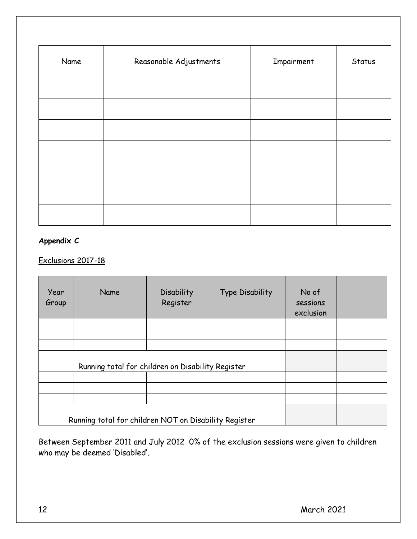| Name | Reasonable Adjustments | Impairment | Status |
|------|------------------------|------------|--------|
|      |                        |            |        |
|      |                        |            |        |
|      |                        |            |        |
|      |                        |            |        |
|      |                        |            |        |
|      |                        |            |        |
|      |                        |            |        |

## **Appendix C**

## Exclusions 2017-18

| Year<br>Group | Name                                                  | <b>Disability</b><br>Register | <b>Type Disability</b> | No of<br>sessions<br>exclusion |  |
|---------------|-------------------------------------------------------|-------------------------------|------------------------|--------------------------------|--|
|               |                                                       |                               |                        |                                |  |
|               |                                                       |                               |                        |                                |  |
|               |                                                       |                               |                        |                                |  |
|               | Running total for children on Disability Register     |                               |                        |                                |  |
|               |                                                       |                               |                        |                                |  |
|               |                                                       |                               |                        |                                |  |
|               |                                                       |                               |                        |                                |  |
|               | Running total for children NOT on Disability Register |                               |                        |                                |  |

Between September 2011 and July 2012 0% of the exclusion sessions were given to children who may be deemed 'Disabled'.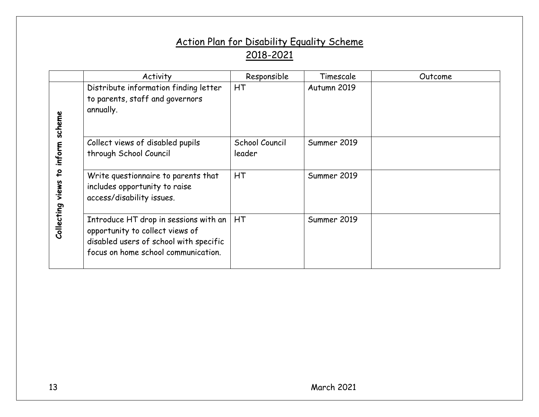# Action Plan for Disability Equality Scheme 2018-2021

|                         | Activity                                                                                                                                                  | Responsible              | Timescale   | Outcome |
|-------------------------|-----------------------------------------------------------------------------------------------------------------------------------------------------------|--------------------------|-------------|---------|
| scheme                  | Distribute information finding letter<br>to parents, staff and governors<br>annually.                                                                     | HT                       | Autumn 2019 |         |
| inform                  | Collect views of disabled pupils<br>through School Council                                                                                                | School Council<br>leader | Summer 2019 |         |
| $\overline{c}$<br>views | Write questionnaire to parents that<br>includes opportunity to raise<br>access/disability issues.                                                         | <b>HT</b>                | Summer 2019 |         |
| Collecting              | Introduce HT drop in sessions with an<br>opportunity to collect views of<br>disabled users of school with specific<br>focus on home school communication. | <b>HT</b>                | Summer 2019 |         |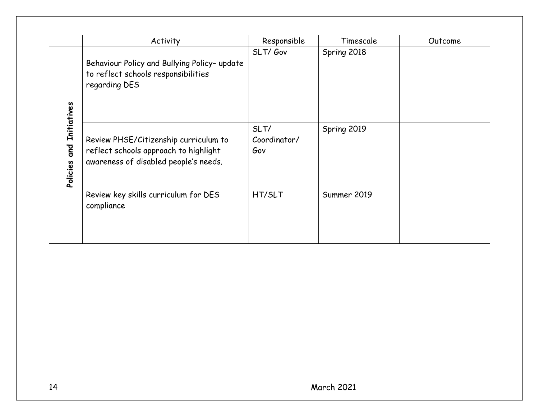|                                       | Activity                                                                                                                | Responsible                 | Timescale   | Outcome |
|---------------------------------------|-------------------------------------------------------------------------------------------------------------------------|-----------------------------|-------------|---------|
|                                       | Behaviour Policy and Bullying Policy- update<br>to reflect schools responsibilities<br>regarding DES                    | SLT/Gov                     | Spring 2018 |         |
| <b>Initiatives</b><br>and<br>Policies | Review PHSE/Citizenship curriculum to<br>reflect schools approach to highlight<br>awareness of disabled people's needs. | SLT/<br>Coordinator/<br>Gov | Spring 2019 |         |
|                                       | Review key skills curriculum for DES<br>compliance                                                                      | HT/SLT                      | Summer 2019 |         |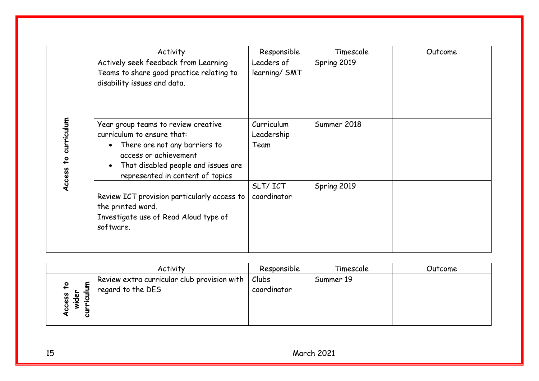|                                        | Activity                                                                                                                                                                                               | Responsible                      | Timescale   | Outcome |
|----------------------------------------|--------------------------------------------------------------------------------------------------------------------------------------------------------------------------------------------------------|----------------------------------|-------------|---------|
|                                        | Actively seek feedback from Learning<br>Teams to share good practice relating to<br>disability issues and data.                                                                                        | Leaders of<br>learning/ SMT      | Spring 2019 |         |
| curriculum<br>$\overline{a}$<br>Access | Year group teams to review creative<br>curriculum to ensure that:<br>There are not any barriers to<br>access or achievement<br>That disabled people and issues are<br>represented in content of topics | Curriculum<br>Leadership<br>Team | Summer 2018 |         |
|                                        | Review ICT provision particularly access to<br>the printed word.<br>Investigate use of Read Aloud type of<br>software.                                                                                 | SLT/ICT<br>coordinator           | Spring 2019 |         |

|                             | Activity                                        | Responsible  | Timescale | Outcome |
|-----------------------------|-------------------------------------------------|--------------|-----------|---------|
|                             | Review extra curricular club provision with $ $ | $ $ $C$ lubs | Summer 19 |         |
|                             | regard to the DES                               | coordinator  |           |         |
| <b>SSS</b><br>$\frac{a}{2}$ |                                                 |              |           |         |
|                             |                                                 |              |           |         |
|                             |                                                 |              |           |         |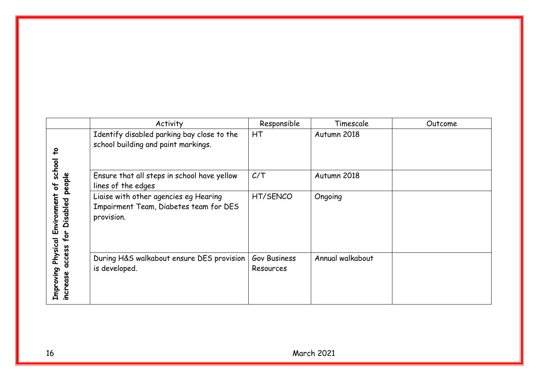|                                            | Activity                                                                                      | Responsible               | Timescale        | Outcome |
|--------------------------------------------|-----------------------------------------------------------------------------------------------|---------------------------|------------------|---------|
| school                                     | Identify disabled parking bay close to the<br>school building and paint markings.             | HT                        | Autumn 2018      |         |
| people<br>$\frac{1}{6}$                    | Ensure that all steps in school have yellow<br>lines of the edges                             | C/T                       | Autumn 2018      |         |
| Environment<br>Disabled<br>for<br>Physical | Liaise with other agencies eg Hearing<br>Impairment Team, Diabetes team for DES<br>provision. | HT/SENCO                  | Ongoing          |         |
| access<br>Improving<br>increase            | During H&S walkabout ensure DES provision<br>is developed.                                    | Gov Business<br>Resources | Annual walkabout |         |